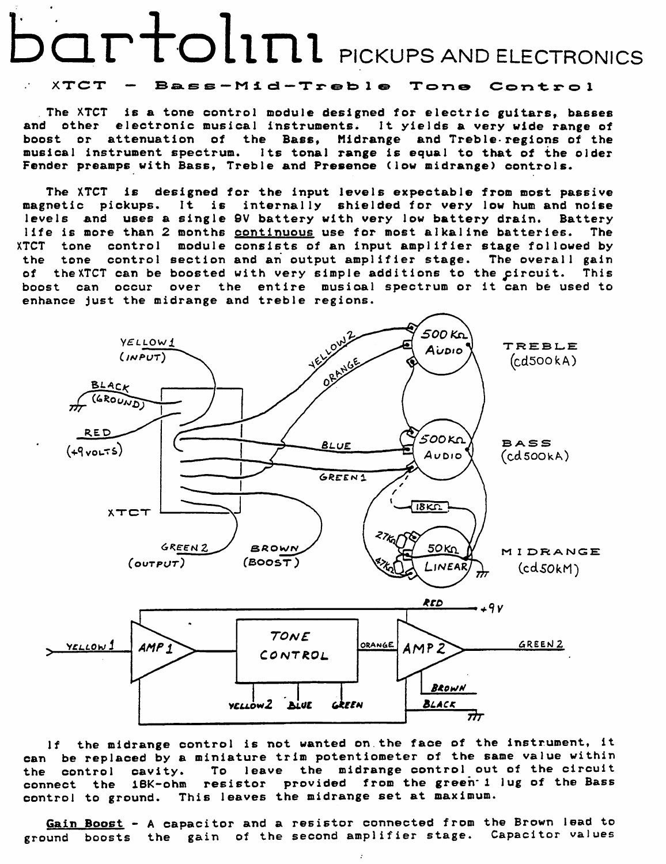## PICKUPS AND ELECTRONICS

## XTCT - Bass-Mid-Treble Tone Control

The XTCT is a tone control module designed for electric guitars, basses and other electronic musical instruments. It yields a very wide range of boost or attenuation of the Bass, Midrange and Treble-regions of the musical instrument spectrum. Its tonal range is equal to that of the older Fender preamps with Bass, Treble and Presence (low midrange) controls.

The XTCT is designed for the input levels expectable from most passive magnetic pickups. It is internally shielded for very low hum and noise levels and uses a single 9V battery with very low battery drain. Battery life is more than 2 months continuous use for most alkaline batteries. The XTCT tone control module consists of an input amplifier stage followed by the tone control section and an output amplifier stage. The overall gain of the XTCT can be boosted with very simple additions to the pircuit. This boost can occur over the entire musioal spectrum or it can be used to enhance just the midrange and treble regions.



If the midrange control is not wanted on.the face of the instrument, it can be replaced *by* a miniature trim potentiometer of the same value within the control cavity. To leave the midrange control out of the circuit connect the 1BK-ohm resistor provided from the green· 1 lug of the Bass control to ground. This leaves the midrange set at maximum.

Gain Boost - A capacitor and a resistor connected from the Brown lead to ground boosts the gain of the second amplifier stage. Capacitor values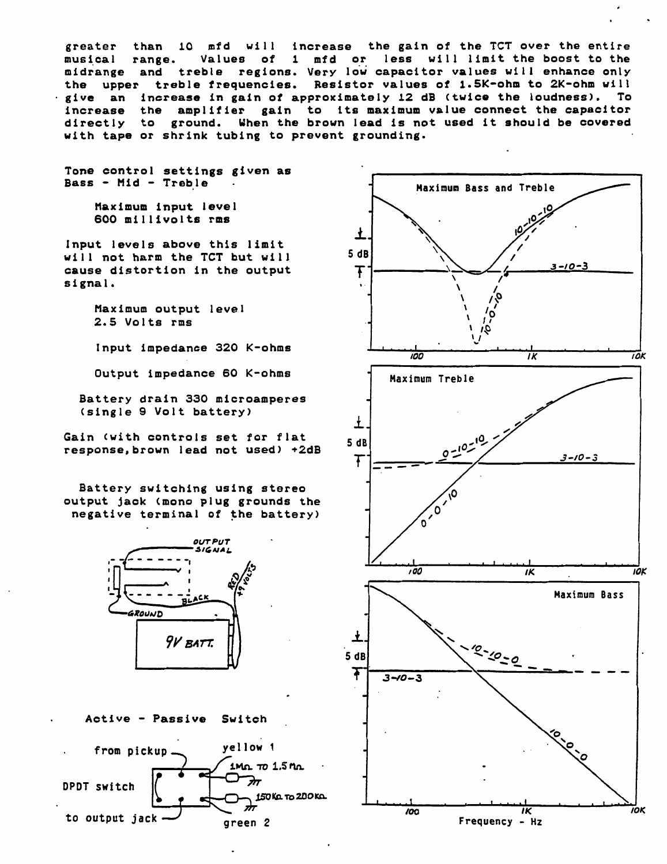greater than 10 mfd will increase the gain of the TCT over the entire<br>musical range. Values of 1 mfd or less will limit the boost to the less will limit the boost to the midrange and treble regions. Very low capacitor values will enhance only the upper treble frequencies. Resistor values of 1.5K-ohm to 2K-ohm will the upper treble frequencies. Resistor values of 1.5K-ohm to 2K-ohm will<br>give an increase in gain of approximately 12 dB (twice the loudness). To give an increase in gain of approximately 12 dB (twice the loudness). To increase the amplifier gain to its maximum value connect the capacitor amplifier gain to its maximum value connect the capacitor directly to ground. When the brown lead is not used it should be covered with tape or shrink tubing to prevent grounding.

Tone control settings given as Bass - Hid - Treble

> Maximum input level 600 millivolts rms

Input levels above this limit will not harm the TCT but will cause distortion in the output signal.

> Maximum output level 2.5 Volts rms

Input impedance 320 K-ohms

Output impedance 60 K-ohms

Battery drain 330 microamperes (single 9 Volt battery)

Gain Cwith controls set for flat response.brown lead not used) +2dB

Battery switching using stereo output jack (mono plug grounds the negative terminal of the battery)



Active - Passive Switch



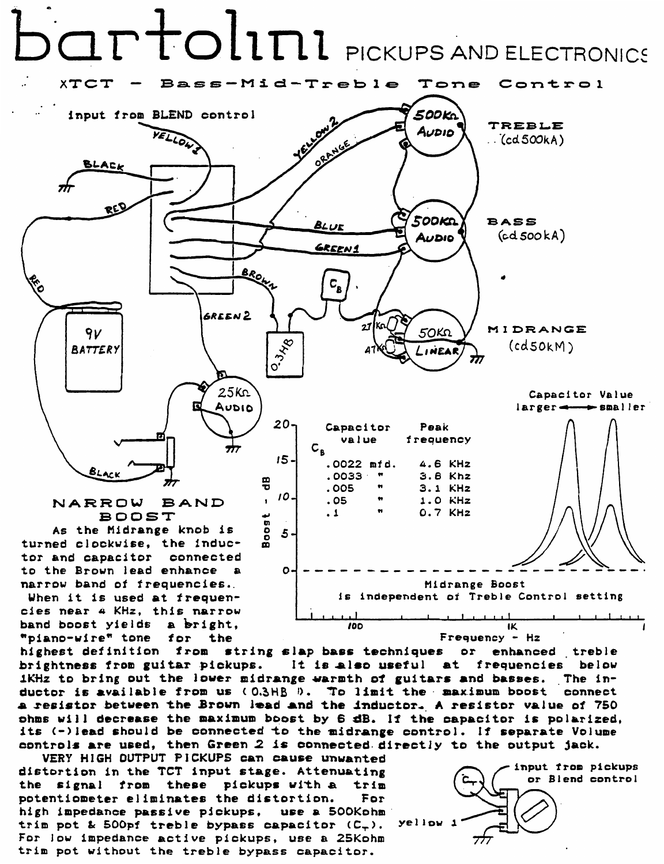

Midrange Boost is independent of Treble Control setting

narrow band of frequencies. When it is used at frequencies near 4 KHz, this narrow band boost yields a bright,

"piano-wire" tone

highest definition from string slap bass techniques  $or$ enhanced treble brightness from guitar pickups. It is also useful at frequencies below ikHz to bring out the lower midrange warmth of guitars and basses. The inductor is available from us (0.3HB 0. To limit the maximum boost connect a resistor between the Brown lead and the inductor. A resistor value of 750 phms will decrease the maximum boost by 6 dB. If the capacitor is polarized, its (-)lead should be connected to the midrange control. If separate Volume controls are used, then Green 2 is connected directly to the output jack.

100

VERY HIGH OUTPUT PICKUPS can cause unwanted distortion in the TCT input stage. Attenuating the signal from these pickups with a trim potentiometer eliminates the distortion. For high impedance passive pickups, use a 500Kohm trim pot & 500pf treble bypass capacitor  $(C_{+})$ . For low impedance active pickups, use a 25Kohm trim pot without the treble bypass capacitor.

for the



IK

Frequency - Hz